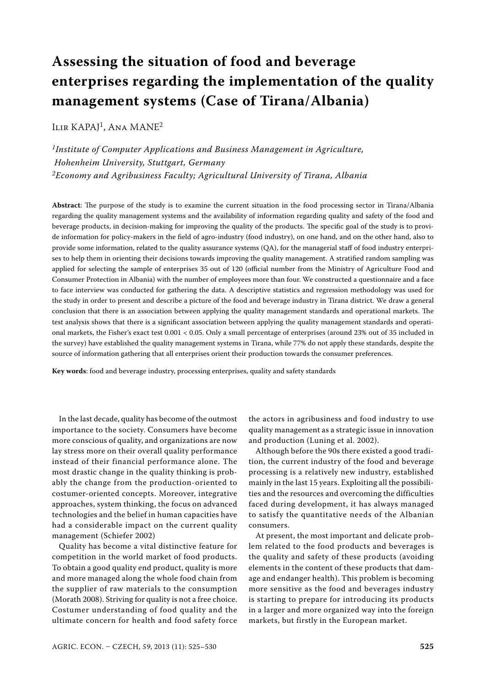# **Assessing the situation of food and beverage enterprises regarding the implementation of the quality management systems (Case of Tirana/Albania)**

Ilir KAPAJ1, Ana MANE2

*1Institute of Computer Applications and Business Management in Agriculture, Hohenheim University, Stuttgart, Germany 2Economy and Agribusiness Faculty; Agricultural University of Tirana, Albania*

Abstract: The purpose of the study is to examine the current situation in the food processing sector in Tirana/Albania regarding the quality management systems and the availability of information regarding quality and safety of the food and beverage products, in decision-making for improving the quality of the products. The specific goal of the study is to provide information for policy-makers in the field of agro-industry (food industry), on one hand, and on the other hand, also to provide some information, related to the quality assurance systems (QA), for the managerial staff of food industry enterprises to help them in orienting their decisions towards improving the quality management. A stratified random sampling was applied for selecting the sample of enterprises 35 out of 120 (official number from the Ministry of Agriculture Food and Consumer Protection in Albania) with the number of employees more than four. We constructed a questionnaire and a face to face interview was conducted for gathering the data. A descriptive statistics and regression methodology was used for the study in order to present and describe a picture of the food and beverage industry in Tirana district. We draw a general conclusion that there is an association between applying the quality management standards and operational markets. The test analysis shows that there is a significant association between applying the quality management standards and operational markets, the Fisher's exact test 0.001 < 0.05. Only a small percentage of enterprises (around 23% out of 35 included in the survey) have established the quality management systems in Tirana, while 77% do not apply these standards, despite the source of information gathering that all enterprises orient their production towards the consumer preferences.

**Key words**: food and beverage industry, processing enterprises, quality and safety standards

In the last decade, quality has become of the outmost importance to the society. Consumers have become more conscious of quality, and organizations are now lay stress more on their overall quality performance instead of their financial performance alone. The most drastic change in the quality thinking is probably the change from the production-oriented to costumer-oriented concepts. Moreover, integrative approaches, system thinking, the focus on advanced technologies and the belief in human capacities have had a considerable impact on the current quality management (Schiefer 2002)

Quality has become a vital distinctive feature for competition in the world market of food products. To obtain a good quality end product, quality is more and more managed along the whole food chain from the supplier of raw materials to the consumption (Morath 2008). Striving for quality is not a free choice. Costumer understanding of food quality and the ultimate concern for health and food safety force

the actors in agribusiness and food industry to use quality management as a strategic issue in innovation and production (Luning et al. 2002).

Although before the 90s there existed a good tradition, the current industry of the food and beverage processing is a relatively new industry, established mainly in the last 15 years. Exploiting all the possibilities and the resources and overcoming the difficulties faced during development, it has always managed to satisfy the quantitative needs of the Albanian consumers.

At present, the most important and delicate problem related to the food products and beverages is the quality and safety of these products (avoiding elements in the content of these products that damage and endanger health). This problem is becoming more sensitive as the food and beverages industry is starting to prepare for introducing its products in a larger and more organized way into the foreign markets, but firstly in the European market.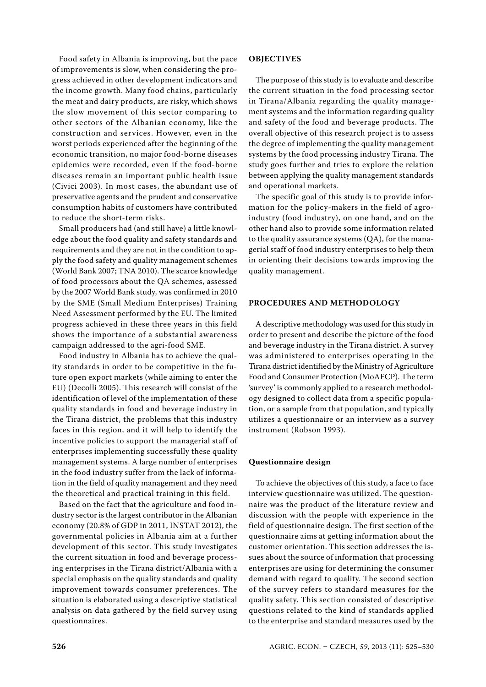Food safety in Albania is improving, but the pace of improvements is slow, when considering the progress achieved in other development indicators and the income growth. Many food chains, particularly the meat and dairy products, are risky, which shows the slow movement of this sector comparing to other sectors of the Albanian economy, like the construction and services. However, even in the worst periods experienced after the beginning of the economic transition, no major food-borne diseases epidemics were recorded, even if the food-borne diseases remain an important public health issue (Civici 2003). In most cases, the abundant use of preservative agents and the prudent and conservative consumption habits of customers have contributed to reduce the short-term risks.

Small producers had (and still have) a little knowledge about the food quality and safety standards and requirements and they are not in the condition to apply the food safety and quality management schemes (World Bank 2007; TNA 2010). The scarce knowledge of food processors about the QA schemes, assessed by the 2007 World Bank study, was confirmed in 2010 by the SME (Small Medium Enterprises) Training Need Assessment performed by the EU. The limited progress achieved in these three years in this field shows the importance of a substantial awareness campaign addressed to the agri-food SME.

Food industry in Albania has to achieve the quality standards in order to be competitive in the future open export markets (while aiming to enter the EU) (Decolli 2005). This research will consist of the identification of level of the implementation of these quality standards in food and beverage industry in the Tirana district, the problems that this industry faces in this region, and it will help to identify the incentive policies to support the managerial staff of enterprises implementing successfully these quality management systems. A large number of enterprises in the food industry suffer from the lack of information in the field of quality management and they need the theoretical and practical training in this field.

Based on the fact that the agriculture and food industry sector is the largest contributor in the Albanian economy (20.8% of GDP in 2011, INSTAT 2012), the governmental policies in Albania aim at a further development of this sector. This study investigates the current situation in food and beverage processing enterprises in the Tirana district/Albania with a special emphasis on the quality standards and quality improvement towards consumer preferences. The situation is elaborated using a descriptive statistical analysis on data gathered by the field survey using questionnaires.

# **OBJECTIVES**

The purpose of this study is to evaluate and describe the current situation in the food processing sector in Tirana/Albania regarding the quality management systems and the information regarding quality and safety of the food and beverage products. The overall objective of this research project is to assess the degree of implementing the quality management systems by the food processing industry Tirana. The study goes further and tries to explore the relation between applying the quality management standards and operational markets.

The specific goal of this study is to provide information for the policy-makers in the field of agroindustry (food industry), on one hand, and on the other hand also to provide some information related to the quality assurance systems (QA), for the managerial staff of food industry enterprises to help them in orienting their decisions towards improving the quality management.

# **PROCEDURES AND METHODOLOGY**

A descriptive methodology was used for this study in order to present and describe the picture of the food and beverage industry in the Tirana district. A survey was administered to enterprises operating in the Tirana district identified by the Ministry of Agriculture Food and Consumer Protection (MoAFCP). The term 'survey' is commonly applied to a research methodology designed to collect data from a specific population, or a sample from that population, and typically utilizes a questionnaire or an interview as a survey instrument (Robson 1993).

#### **Questionnaire design**

To achieve the objectives of this study, a face to face interview questionnaire was utilized. The questionnaire was the product of the literature review and discussion with the people with experience in the field of questionnaire design. The first section of the questionnaire aims at getting information about the customer orientation. This section addresses the issues about the source of information that processing enterprises are using for determining the consumer demand with regard to quality. The second section of the survey refers to standard measures for the quality safety. This section consisted of descriptive questions related to the kind of standards applied to the enterprise and standard measures used by the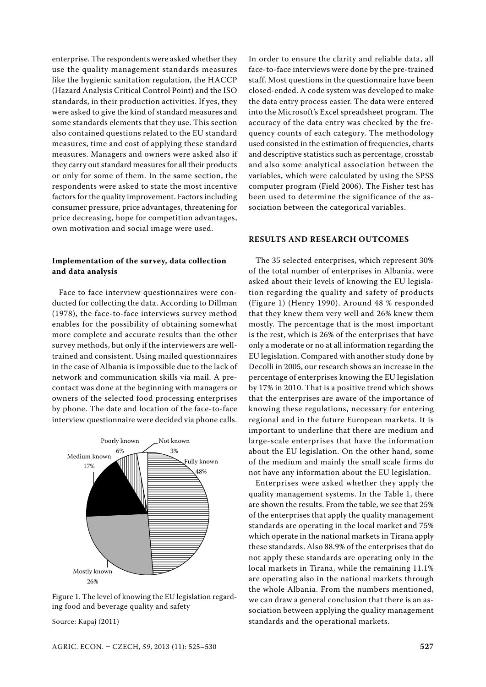enterprise. The respondents were asked whether they use the quality management standards measures like the hygienic sanitation regulation, the HACCP (Hazard Analysis Critical Control Point) and the ISO standards, in their production activities. If yes, they were asked to give the kind of standard measures and some standards elements that they use. This section also contained questions related to the EU standard measures, time and cost of applying these standard measures. Managers and owners were asked also if they carry out standard measures for all their products or only for some of them. In the same section, the respondents were asked to state the most incentive factors for the quality improvement. Factors including consumer pressure, price advantages, threatening for price decreasing, hope for competition advantages, own motivation and social image were used.

# **Implementation of the survey, data collection and data analysis**

Face to face interview questionnaires were conducted for collecting the data. According to Dillman (1978), the face-to-face interviews survey method enables for the possibility of obtaining somewhat more complete and accurate results than the other survey methods, but only if the interviewers are welltrained and consistent. Using mailed questionnaires in the case of Albania is impossible due to the lack of network and communication skills via mail. A precontact was done at the beginning with managers or owners of the selected food processing enterprises by phone. The date and location of the face-to-face interview questionnaire were decided via phone calls.





Source: Kapaj (2011)

In order to ensure the clarity and reliable data, all face-to-face interviews were done by the pre-trained staff. Most questions in the questionnaire have been closed-ended. A code system was developed to make the data entry process easier. The data were entered into the Microsoft's Excel spreadsheet program. The accuracy of the data entry was checked by the frequency counts of each category. The methodology used consisted in the estimation of frequencies, charts and descriptive statistics such as percentage, crosstab and also some analytical association between the variables, which were calculated by using the SPSS computer program (Field 2006). The Fisher test has been used to determine the significance of the association between the categorical variables.

# **RESULTS AND RESEARCH OUTCOMES**

The 35 selected enterprises, which represent 30% of the total number of enterprises in Albania, were asked about their levels of knowing the EU legislation regarding the quality and safety of products (Figure 1) (Henry 1990). Around 48 % responded that they knew them very well and 26% knew them mostly. The percentage that is the most important is the rest, which is 26% of the enterprises that have only a moderate or no at all information regarding the EU legislation. Compared with another study done by Decolli in 2005, our research shows an increase in the percentage of enterprises knowing the EU legislation by 17% in 2010. That is a positive trend which shows that the enterprises are aware of the importance of knowing these regulations, necessary for entering regional and in the future European markets. It is important to underline that there are medium and large-scale enterprises that have the information about the EU legislation. On the other hand, some of the medium and mainly the small scale firms do not have any information about the EU legislation.

Enterprises were asked whether they apply the quality management systems. In the Table 1, there are shown the results. From the table, we see that 25% of the enterprises that apply the quality management standards are operating in the local market and 75% which operate in the national markets in Tirana apply these standards. Also 88.9% of the enterprises that do not apply these standards are operating only in the local markets in Tirana, while the remaining 11.1% are operating also in the national markets through the whole Albania. From the numbers mentioned, we can draw a general conclusion that there is an association between applying the quality management standards and the operational markets.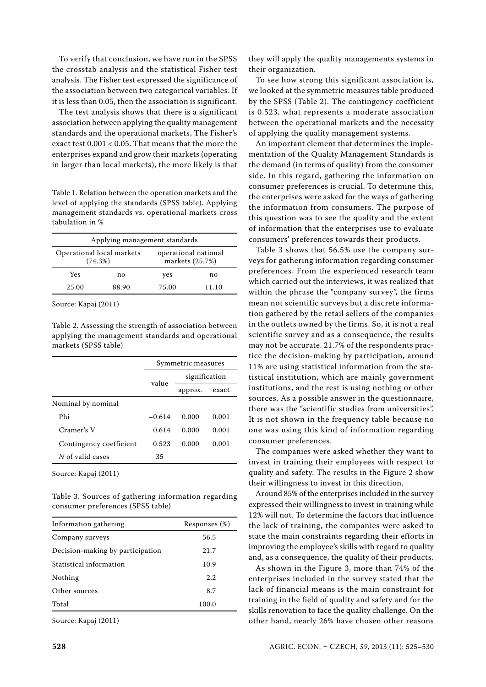To verify that conclusion, we have run in the SPSS the crosstab analysis and the statistical Fisher test analysis. The Fisher test expressed the significance of the association between two categorical variables. If it is less than 0.05, then the association is significant.

The test analysis shows that there is a significant association between applying the quality management standards and the operational markets, The Fisher's exact test 0.001 < 0.05. That means that the more the enterprises expand and grow their markets (operating in larger than local markets), the more likely is that

Table 1. Relation between the operation markets and the level of applying the standards (SPSS table). Applying management standards vs. operational markets cross tabulation in %

| Applying management standards        |       |                                         |       |  |  |
|--------------------------------------|-------|-----------------------------------------|-------|--|--|
| Operational local markets<br>(74.3%) |       | operational national<br>markets (25.7%) |       |  |  |
| Yes                                  | no    | ves                                     | no    |  |  |
| 25.00                                | 88.90 | 75.00                                   | 11.10 |  |  |

Source: Kapaj (2011)

Table 2. Assessing the strength of association between applying the management standards and operational markets (SPSS table)

|                         | Symmetric measures |               |       |
|-------------------------|--------------------|---------------|-------|
|                         |                    | signification |       |
|                         | value              | approx.       | exact |
| Nominal by nominal      |                    |               |       |
| Phi                     | $-0.614$           | 0.000         | 0.001 |
| Cramer's V              | 0.614              | 0.000         | 0.001 |
| Contingency coefficient | 0.523              | 0.000         | 0.001 |
| N of valid cases        | 35                 |               |       |

Source: Kapaj (2011)

Table 3. Sources of gathering information regarding consumer preferences (SPSS table)

| Information gathering            | Responses (%) |
|----------------------------------|---------------|
| Company surveys                  | 56.5          |
| Decision-making by participation | 21.7          |
| Statistical information          | 10.9          |
| Nothing                          | 2.2.          |
| Other sources                    | 8.7           |
| Total                            | 100.0         |

Source: Kapaj (2011)

they will apply the quality managements systems in their organization.

To see how strong this significant association is, we looked at the symmetric measures table produced by the SPSS (Table 2). The contingency coefficient is 0.523, what represents a moderate association between the operational markets and the necessity of applying the quality management systems.

An important element that determines the implementation of the Quality Management Standards is the demand (in terms of quality) from the consumer side. In this regard, gathering the information on consumer preferences is crucial. To determine this, the enterprises were asked for the ways of gathering the information from consumers. The purpose of this question was to see the quality and the extent of information that the enterprises use to evaluate consumers' preferences towards their products.

Table 3 shows that 56.5% use the company surveys for gathering information regarding consumer preferences. From the experienced research team which carried out the interviews, it was realized that within the phrase the "company survey", the firms mean not scientific surveys but a discrete information gathered by the retail sellers of the companies in the outlets owned by the firms. So, it is not a real scientific survey and as a consequence, the results may not be accurate. 21.7% of the respondents practice the decision-making by participation, around 11% are using statistical information from the statistical institution, which are mainly government institutions, and the rest is using nothing or other sources. As a possible answer in the questionnaire, there was the "scientific studies from universities". It is not shown in the frequency table because no one was using this kind of information regarding consumer preferences.

The companies were asked whether they want to invest in training their employees with respect to quality and safety. The results in the Figure 2 show their willingness to invest in this direction.

Around 85% of the enterprises included in the survey expressed their willingness to invest in training while 12% will not. To determine the factors that influence the lack of training, the companies were asked to state the main constraints regarding their efforts in improving the employee's skills with regard to quality and, as a consequence, the quality of their products.

As shown in the Figure 3, more than 74% of the enterprises included in the survey stated that the lack of financial means is the main constraint for training in the field of quality and safety and for the skills renovation to face the quality challenge. On the other hand, nearly 26% have chosen other reasons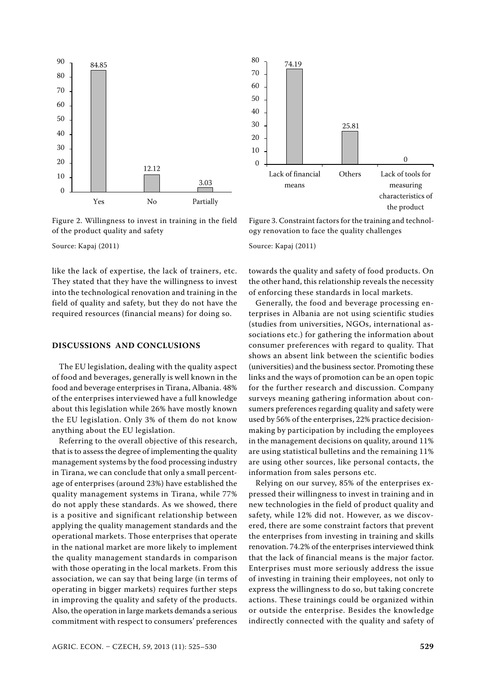

Figure 2. Willingness to invest in training in the field of the product quality and safety

Source: Kapaj (2011)

like the lack of expertise, the lack of trainers, etc. They stated that they have the willingness to invest into the technological renovation and training in the field of quality and safety, but they do not have the required resources (financial means) for doing so.

#### **DISCUSSIONS AND CONCLUSIONS**

The EU legislation, dealing with the quality aspect of food and beverages, generally is well known in the food and beverage enterprises in Tirana, Albania. 48% of the enterprises interviewed have a full knowledge about this legislation while 26% have mostly known the EU legislation. Only 3% of them do not know anything about the EU legislation.

Referring to the overall objective of this research, that is to assess the degree of implementing the quality management systems by the food processing industry in Tirana, we can conclude that only a small percentage of enterprises (around 23%) have established the quality management systems in Tirana, while 77% do not apply these standards. As we showed, there is a positive and significant relationship between applying the quality management standards and the operational markets. Those enterprises that operate in the national market are more likely to implement the quality management standards in comparison with those operating in the local markets. From this association, we can say that being large (in terms of operating in bigger markets) requires further steps in improving the quality and safety of the products. Also, the operation in large markets demands a serious commitment with respect to consumers' preferences



Figure 3. Constraint factors for the training and technology renovation to face the quality challenges

Source: Kapaj (2011)

towards the quality and safety of food products. On the other hand, this relationship reveals the necessity of enforcing these standards in local markets.

Generally, the food and beverage processing enterprises in Albania are not using scientific studies (studies from universities, NGOs, international associations etc.) for gathering the information about consumer preferences with regard to quality. That shows an absent link between the scientific bodies (universities) and the business sector. Promoting these links and the ways of promotion can be an open topic for the further research and discussion. Company surveys meaning gathering information about consumers preferences regarding quality and safety were used by 56% of the enterprises, 22% practice decisionmaking by participation by including the employees in the management decisions on quality, around 11% are using statistical bulletins and the remaining 11% are using other sources, like personal contacts, the information from sales persons etc.

Relying on our survey, 85% of the enterprises expressed their willingness to invest in training and in new technologies in the field of product quality and safety, while 12% did not. However, as we discovered, there are some constraint factors that prevent the enterprises from investing in training and skills renovation. 74.2% of the enterprises interviewed think that the lack of financial means is the major factor. Enterprises must more seriously address the issue of investing in training their employees, not only to express the willingness to do so, but taking concrete actions. These trainings could be organized within or outside the enterprise. Besides the knowledge indirectly connected with the quality and safety of